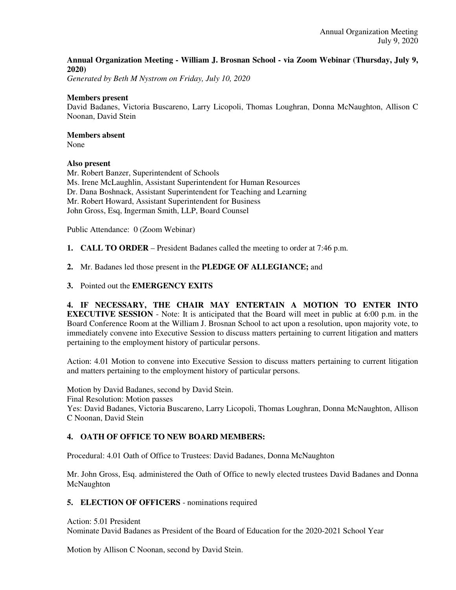### **Annual Organization Meeting - William J. Brosnan School - via Zoom Webinar (Thursday, July 9, 2020)**

*Generated by Beth M Nystrom on Friday, July 10, 2020*

#### **Members present**

David Badanes, Victoria Buscareno, Larry Licopoli, Thomas Loughran, Donna McNaughton, Allison C Noonan, David Stein

### **Members absent**

None

### **Also present**

Mr. Robert Banzer, Superintendent of Schools Ms. Irene McLaughlin, Assistant Superintendent for Human Resources Dr. Dana Boshnack, Assistant Superintendent for Teaching and Learning Mr. Robert Howard, Assistant Superintendent for Business John Gross, Esq, Ingerman Smith, LLP, Board Counsel

Public Attendance: 0 (Zoom Webinar)

- **1. CALL TO ORDER** President Badanes called the meeting to order at 7:46 p.m.
- **2.** Mr. Badanes led those present in the **PLEDGE OF ALLEGIANCE;** and
- **3.** Pointed out the **EMERGENCY EXITS**

**4. IF NECESSARY, THE CHAIR MAY ENTERTAIN A MOTION TO ENTER INTO EXECUTIVE SESSION** - Note: It is anticipated that the Board will meet in public at 6:00 p.m. in the Board Conference Room at the William J. Brosnan School to act upon a resolution, upon majority vote, to immediately convene into Executive Session to discuss matters pertaining to current litigation and matters pertaining to the employment history of particular persons.

Action: 4.01 Motion to convene into Executive Session to discuss matters pertaining to current litigation and matters pertaining to the employment history of particular persons.

Motion by David Badanes, second by David Stein. Final Resolution: Motion passes Yes: David Badanes, Victoria Buscareno, Larry Licopoli, Thomas Loughran, Donna McNaughton, Allison C Noonan, David Stein

### **4. OATH OF OFFICE TO NEW BOARD MEMBERS:**

Procedural: 4.01 Oath of Office to Trustees: David Badanes, Donna McNaughton

Mr. John Gross, Esq. administered the Oath of Office to newly elected trustees David Badanes and Donna **McNaughton** 

**5. ELECTION OF OFFICERS** - nominations required

#### Action: 5.01 President

Nominate David Badanes as President of the Board of Education for the 2020-2021 School Year

Motion by Allison C Noonan, second by David Stein.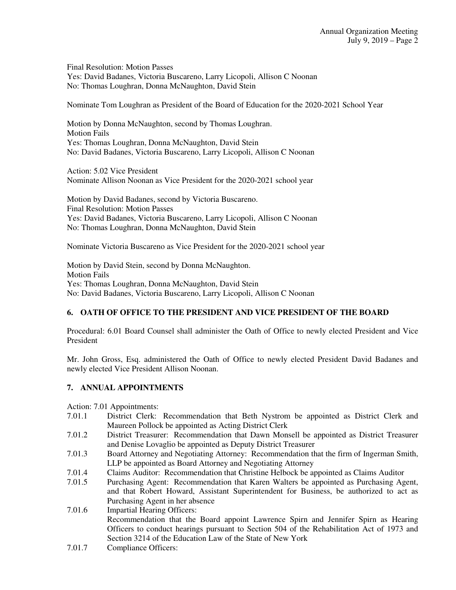Final Resolution: Motion Passes Yes: David Badanes, Victoria Buscareno, Larry Licopoli, Allison C Noonan No: Thomas Loughran, Donna McNaughton, David Stein

Nominate Tom Loughran as President of the Board of Education for the 2020-2021 School Year

Motion by Donna McNaughton, second by Thomas Loughran. Motion Fails Yes: Thomas Loughran, Donna McNaughton, David Stein No: David Badanes, Victoria Buscareno, Larry Licopoli, Allison C Noonan

Action: 5.02 Vice President Nominate Allison Noonan as Vice President for the 2020-2021 school year

Motion by David Badanes, second by Victoria Buscareno. Final Resolution: Motion Passes Yes: David Badanes, Victoria Buscareno, Larry Licopoli, Allison C Noonan No: Thomas Loughran, Donna McNaughton, David Stein

Nominate Victoria Buscareno as Vice President for the 2020-2021 school year

Motion by David Stein, second by Donna McNaughton. Motion Fails Yes: Thomas Loughran, Donna McNaughton, David Stein No: David Badanes, Victoria Buscareno, Larry Licopoli, Allison C Noonan

# **6. OATH OF OFFICE TO THE PRESIDENT AND VICE PRESIDENT OF THE BOARD**

Procedural: 6.01 Board Counsel shall administer the Oath of Office to newly elected President and Vice President

Mr. John Gross, Esq. administered the Oath of Office to newly elected President David Badanes and newly elected Vice President Allison Noonan.

# **7. ANNUAL APPOINTMENTS**

Action: 7.01 Appointments:

- 7.01.1 District Clerk: Recommendation that Beth Nystrom be appointed as District Clerk and Maureen Pollock be appointed as Acting District Clerk
- 7.01.2 District Treasurer: Recommendation that Dawn Monsell be appointed as District Treasurer and Denise Lovaglio be appointed as Deputy District Treasurer
- 7.01.3 Board Attorney and Negotiating Attorney: Recommendation that the firm of Ingerman Smith, LLP be appointed as Board Attorney and Negotiating Attorney
- 7.01.4 Claims Auditor: Recommendation that Christine Helbock be appointed as Claims Auditor
- 7.01.5 Purchasing Agent: Recommendation that Karen Walters be appointed as Purchasing Agent, and that Robert Howard, Assistant Superintendent for Business, be authorized to act as Purchasing Agent in her absence
- 7.01.6 Impartial Hearing Officers: Recommendation that the Board appoint Lawrence Spirn and Jennifer Spirn as Hearing Officers to conduct hearings pursuant to Section 504 of the Rehabilitation Act of 1973 and Section 3214 of the Education Law of the State of New York
- 7.01.7 Compliance Officers: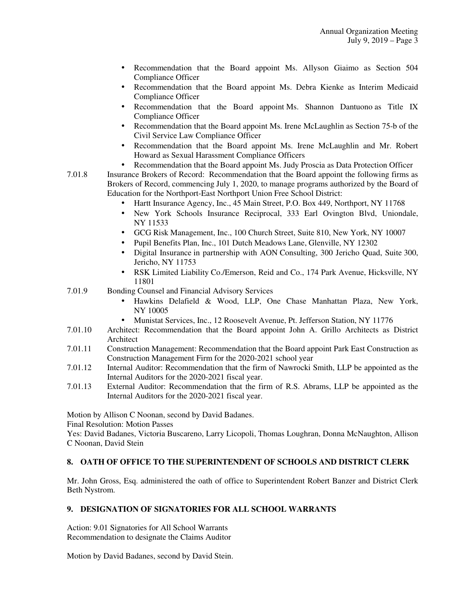- Recommendation that the Board appoint Ms. Allyson Giaimo as Section 504 Compliance Officer
- Recommendation that the Board appoint Ms. Debra Kienke as Interim Medicaid Compliance Officer
- Recommendation that the Board appoint Ms. Shannon Dantuono as Title IX Compliance Officer
- Recommendation that the Board appoint Ms. Irene McLaughlin as Section 75-b of the Civil Service Law Compliance Officer
- Recommendation that the Board appoint Ms. Irene McLaughlin and Mr. Robert Howard as Sexual Harassment Compliance Officers
- Recommendation that the Board appoint Ms. Judy Proscia as Data Protection Officer
- 7.01.8 Insurance Brokers of Record: Recommendation that the Board appoint the following firms as Brokers of Record, commencing July 1, 2020, to manage programs authorized by the Board of Education for the Northport-East Northport Union Free School District:
	- Hartt Insurance Agency, Inc., 45 Main Street, P.O. Box 449, Northport, NY 11768
	- New York Schools Insurance Reciprocal, 333 Earl Ovington Blvd, Uniondale, NY 11533
	- GCG Risk Management, Inc., 100 Church Street, Suite 810, New York, NY 10007
	- Pupil Benefits Plan, Inc., 101 Dutch Meadows Lane, Glenville, NY 12302
	- Digital Insurance in partnership with AON Consulting, 300 Jericho Quad, Suite 300, Jericho, NY 11753
	- RSK Limited Liability Co./Emerson, Reid and Co., 174 Park Avenue, Hicksville, NY 11801
- 7.01.9 Bonding Counsel and Financial Advisory Services
	- Hawkins Delafield & Wood, LLP, One Chase Manhattan Plaza, New York, NY 10005
	- Munistat Services, Inc., 12 Roosevelt Avenue, Pt. Jefferson Station, NY 11776
- 7.01.10 Architect: Recommendation that the Board appoint John A. Grillo Architects as District Architect
- 7.01.11 Construction Management: Recommendation that the Board appoint Park East Construction as Construction Management Firm for the 2020-2021 school year
- 7.01.12 Internal Auditor: Recommendation that the firm of Nawrocki Smith, LLP be appointed as the Internal Auditors for the 2020-2021 fiscal year.
- 7.01.13 External Auditor: Recommendation that the firm of R.S. Abrams, LLP be appointed as the Internal Auditors for the 2020-2021 fiscal year.

Motion by Allison C Noonan, second by David Badanes.

Final Resolution: Motion Passes

Yes: David Badanes, Victoria Buscareno, Larry Licopoli, Thomas Loughran, Donna McNaughton, Allison C Noonan, David Stein

### **8. OATH OF OFFICE TO THE SUPERINTENDENT OF SCHOOLS AND DISTRICT CLERK**

Mr. John Gross, Esq. administered the oath of office to Superintendent Robert Banzer and District Clerk Beth Nystrom.

#### **9. DESIGNATION OF SIGNATORIES FOR ALL SCHOOL WARRANTS**

Action: 9.01 Signatories for All School Warrants Recommendation to designate the Claims Auditor

Motion by David Badanes, second by David Stein.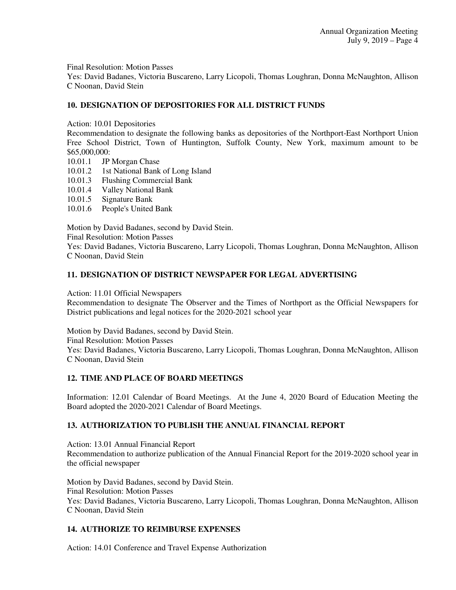Final Resolution: Motion Passes

Yes: David Badanes, Victoria Buscareno, Larry Licopoli, Thomas Loughran, Donna McNaughton, Allison C Noonan, David Stein

# **10. DESIGNATION OF DEPOSITORIES FOR ALL DISTRICT FUNDS**

Action: 10.01 Depositories

Recommendation to designate the following banks as depositories of the Northport-East Northport Union Free School District, Town of Huntington, Suffolk County, New York, maximum amount to be \$65,000,000:

- 10.01.1 JP Morgan Chase
- 10.01.2 1st National Bank of Long Island
- 10.01.3 Flushing Commercial Bank
- 10.01.4 Valley National Bank
- 10.01.5 Signature Bank
- 10.01.6 People's United Bank

Motion by David Badanes, second by David Stein.

Final Resolution: Motion Passes

Yes: David Badanes, Victoria Buscareno, Larry Licopoli, Thomas Loughran, Donna McNaughton, Allison C Noonan, David Stein

# **11. DESIGNATION OF DISTRICT NEWSPAPER FOR LEGAL ADVERTISING**

Action: 11.01 Official Newspapers

Recommendation to designate The Observer and the Times of Northport as the Official Newspapers for District publications and legal notices for the 2020-2021 school year

Motion by David Badanes, second by David Stein. Final Resolution: Motion Passes Yes: David Badanes, Victoria Buscareno, Larry Licopoli, Thomas Loughran, Donna McNaughton, Allison C Noonan, David Stein

# **12. TIME AND PLACE OF BOARD MEETINGS**

Information: 12.01 Calendar of Board Meetings. At the June 4, 2020 Board of Education Meeting the Board adopted the 2020-2021 Calendar of Board Meetings.

# **13. AUTHORIZATION TO PUBLISH THE ANNUAL FINANCIAL REPORT**

Action: 13.01 Annual Financial Report Recommendation to authorize publication of the Annual Financial Report for the 2019-2020 school year in the official newspaper

Motion by David Badanes, second by David Stein. Final Resolution: Motion Passes Yes: David Badanes, Victoria Buscareno, Larry Licopoli, Thomas Loughran, Donna McNaughton, Allison C Noonan, David Stein

# **14. AUTHORIZE TO REIMBURSE EXPENSES**

Action: 14.01 Conference and Travel Expense Authorization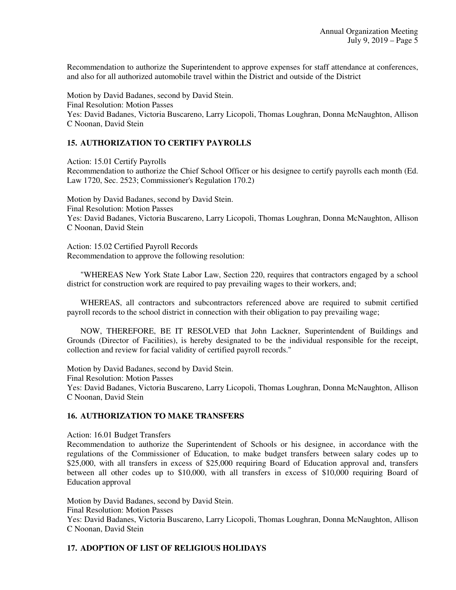Recommendation to authorize the Superintendent to approve expenses for staff attendance at conferences, and also for all authorized automobile travel within the District and outside of the District

Motion by David Badanes, second by David Stein. Final Resolution: Motion Passes Yes: David Badanes, Victoria Buscareno, Larry Licopoli, Thomas Loughran, Donna McNaughton, Allison C Noonan, David Stein

### **15. AUTHORIZATION TO CERTIFY PAYROLLS**

Action: 15.01 Certify Payrolls

Recommendation to authorize the Chief School Officer or his designee to certify payrolls each month (Ed. Law 1720, Sec. 2523; Commissioner's Regulation 170.2)

Motion by David Badanes, second by David Stein. Final Resolution: Motion Passes Yes: David Badanes, Victoria Buscareno, Larry Licopoli, Thomas Loughran, Donna McNaughton, Allison C Noonan, David Stein

Action: 15.02 Certified Payroll Records Recommendation to approve the following resolution:

 "WHEREAS New York State Labor Law, Section 220, requires that contractors engaged by a school district for construction work are required to pay prevailing wages to their workers, and;

 WHEREAS, all contractors and subcontractors referenced above are required to submit certified payroll records to the school district in connection with their obligation to pay prevailing wage;

 NOW, THEREFORE, BE IT RESOLVED that John Lackner, Superintendent of Buildings and Grounds (Director of Facilities), is hereby designated to be the individual responsible for the receipt, collection and review for facial validity of certified payroll records."

Motion by David Badanes, second by David Stein.

Final Resolution: Motion Passes

Yes: David Badanes, Victoria Buscareno, Larry Licopoli, Thomas Loughran, Donna McNaughton, Allison C Noonan, David Stein

### **16. AUTHORIZATION TO MAKE TRANSFERS**

Action: 16.01 Budget Transfers

Recommendation to authorize the Superintendent of Schools or his designee, in accordance with the regulations of the Commissioner of Education, to make budget transfers between salary codes up to \$25,000, with all transfers in excess of \$25,000 requiring Board of Education approval and, transfers between all other codes up to \$10,000, with all transfers in excess of \$10,000 requiring Board of Education approval

Motion by David Badanes, second by David Stein. Final Resolution: Motion Passes Yes: David Badanes, Victoria Buscareno, Larry Licopoli, Thomas Loughran, Donna McNaughton, Allison C Noonan, David Stein

### **17. ADOPTION OF LIST OF RELIGIOUS HOLIDAYS**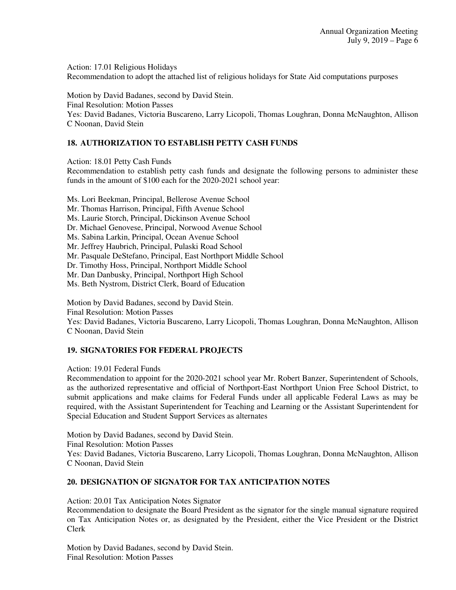Action: 17.01 Religious Holidays Recommendation to adopt the attached list of religious holidays for State Aid computations purposes

Motion by David Badanes, second by David Stein. Final Resolution: Motion Passes Yes: David Badanes, Victoria Buscareno, Larry Licopoli, Thomas Loughran, Donna McNaughton, Allison C Noonan, David Stein

## **18. AUTHORIZATION TO ESTABLISH PETTY CASH FUNDS**

Action: 18.01 Petty Cash Funds

Recommendation to establish petty cash funds and designate the following persons to administer these funds in the amount of \$100 each for the 2020-2021 school year:

Ms. Lori Beekman, Principal, Bellerose Avenue School

Mr. Thomas Harrison, Principal, Fifth Avenue School

Ms. Laurie Storch, Principal, Dickinson Avenue School

Dr. Michael Genovese, Principal, Norwood Avenue School

Ms. Sabina Larkin, Principal, Ocean Avenue School

Mr. Jeffrey Haubrich, Principal, Pulaski Road School

Mr. Pasquale DeStefano, Principal, East Northport Middle School

Dr. Timothy Hoss, Principal, Northport Middle School

Mr. Dan Danbusky, Principal, Northport High School

Ms. Beth Nystrom, District Clerk, Board of Education

Motion by David Badanes, second by David Stein.

Final Resolution: Motion Passes

Yes: David Badanes, Victoria Buscareno, Larry Licopoli, Thomas Loughran, Donna McNaughton, Allison C Noonan, David Stein

# **19. SIGNATORIES FOR FEDERAL PROJECTS**

Action: 19.01 Federal Funds

Recommendation to appoint for the 2020-2021 school year Mr. Robert Banzer, Superintendent of Schools, as the authorized representative and official of Northport-East Northport Union Free School District, to submit applications and make claims for Federal Funds under all applicable Federal Laws as may be required, with the Assistant Superintendent for Teaching and Learning or the Assistant Superintendent for Special Education and Student Support Services as alternates

Motion by David Badanes, second by David Stein. Final Resolution: Motion Passes Yes: David Badanes, Victoria Buscareno, Larry Licopoli, Thomas Loughran, Donna McNaughton, Allison C Noonan, David Stein

### **20. DESIGNATION OF SIGNATOR FOR TAX ANTICIPATION NOTES**

Action: 20.01 Tax Anticipation Notes Signator

Recommendation to designate the Board President as the signator for the single manual signature required on Tax Anticipation Notes or, as designated by the President, either the Vice President or the District Clerk

Motion by David Badanes, second by David Stein. Final Resolution: Motion Passes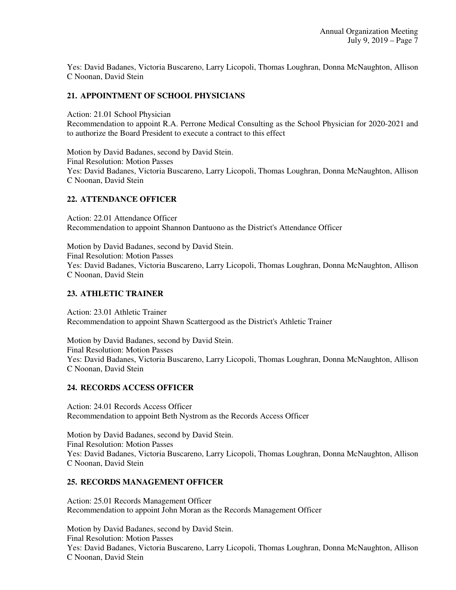Yes: David Badanes, Victoria Buscareno, Larry Licopoli, Thomas Loughran, Donna McNaughton, Allison C Noonan, David Stein

## **21. APPOINTMENT OF SCHOOL PHYSICIANS**

Action: 21.01 School Physician Recommendation to appoint R.A. Perrone Medical Consulting as the School Physician for 2020-2021 and to authorize the Board President to execute a contract to this effect

Motion by David Badanes, second by David Stein. Final Resolution: Motion Passes Yes: David Badanes, Victoria Buscareno, Larry Licopoli, Thomas Loughran, Donna McNaughton, Allison C Noonan, David Stein

### **22. ATTENDANCE OFFICER**

Action: 22.01 Attendance Officer Recommendation to appoint Shannon Dantuono as the District's Attendance Officer

Motion by David Badanes, second by David Stein. Final Resolution: Motion Passes Yes: David Badanes, Victoria Buscareno, Larry Licopoli, Thomas Loughran, Donna McNaughton, Allison C Noonan, David Stein

### **23. ATHLETIC TRAINER**

Action: 23.01 Athletic Trainer Recommendation to appoint Shawn Scattergood as the District's Athletic Trainer

Motion by David Badanes, second by David Stein. Final Resolution: Motion Passes Yes: David Badanes, Victoria Buscareno, Larry Licopoli, Thomas Loughran, Donna McNaughton, Allison C Noonan, David Stein

### **24. RECORDS ACCESS OFFICER**

Action: 24.01 Records Access Officer Recommendation to appoint Beth Nystrom as the Records Access Officer

Motion by David Badanes, second by David Stein. Final Resolution: Motion Passes Yes: David Badanes, Victoria Buscareno, Larry Licopoli, Thomas Loughran, Donna McNaughton, Allison C Noonan, David Stein

### **25. RECORDS MANAGEMENT OFFICER**

Action: 25.01 Records Management Officer Recommendation to appoint John Moran as the Records Management Officer

Motion by David Badanes, second by David Stein. Final Resolution: Motion Passes Yes: David Badanes, Victoria Buscareno, Larry Licopoli, Thomas Loughran, Donna McNaughton, Allison C Noonan, David Stein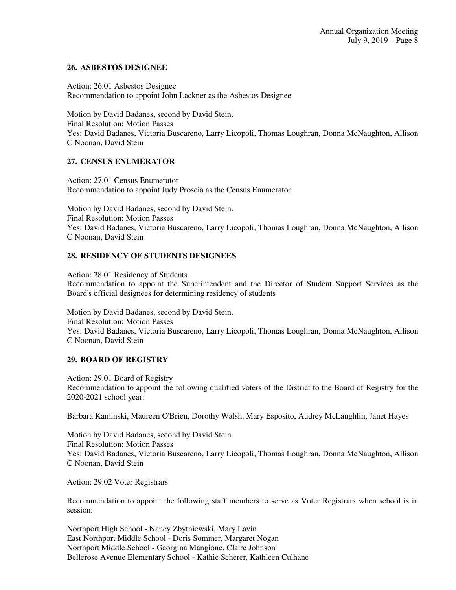### **26. ASBESTOS DESIGNEE**

Action: 26.01 Asbestos Designee Recommendation to appoint John Lackner as the Asbestos Designee

Motion by David Badanes, second by David Stein. Final Resolution: Motion Passes Yes: David Badanes, Victoria Buscareno, Larry Licopoli, Thomas Loughran, Donna McNaughton, Allison C Noonan, David Stein

# **27. CENSUS ENUMERATOR**

Action: 27.01 Census Enumerator Recommendation to appoint Judy Proscia as the Census Enumerator

Motion by David Badanes, second by David Stein. Final Resolution: Motion Passes Yes: David Badanes, Victoria Buscareno, Larry Licopoli, Thomas Loughran, Donna McNaughton, Allison C Noonan, David Stein

# **28. RESIDENCY OF STUDENTS DESIGNEES**

Action: 28.01 Residency of Students Recommendation to appoint the Superintendent and the Director of Student Support Services as the Board's official designees for determining residency of students

Motion by David Badanes, second by David Stein. Final Resolution: Motion Passes Yes: David Badanes, Victoria Buscareno, Larry Licopoli, Thomas Loughran, Donna McNaughton, Allison C Noonan, David Stein

### **29. BOARD OF REGISTRY**

Action: 29.01 Board of Registry Recommendation to appoint the following qualified voters of the District to the Board of Registry for the 2020-2021 school year:

Barbara Kaminski, Maureen O'Brien, Dorothy Walsh, Mary Esposito, Audrey McLaughlin, Janet Hayes

Motion by David Badanes, second by David Stein. Final Resolution: Motion Passes Yes: David Badanes, Victoria Buscareno, Larry Licopoli, Thomas Loughran, Donna McNaughton, Allison C Noonan, David Stein

Action: 29.02 Voter Registrars

Recommendation to appoint the following staff members to serve as Voter Registrars when school is in session:

Northport High School - Nancy Zbytniewski, Mary Lavin East Northport Middle School - Doris Sommer, Margaret Nogan Northport Middle School - Georgina Mangione, Claire Johnson Bellerose Avenue Elementary School - Kathie Scherer, Kathleen Culhane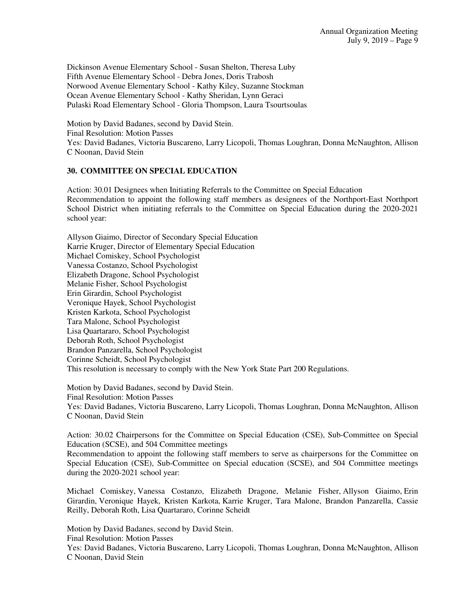Dickinson Avenue Elementary School - Susan Shelton, Theresa Luby Fifth Avenue Elementary School - Debra Jones, Doris Trabosh Norwood Avenue Elementary School - Kathy Kiley, Suzanne Stockman Ocean Avenue Elementary School - Kathy Sheridan, Lynn Geraci Pulaski Road Elementary School - Gloria Thompson, Laura Tsourtsoulas

Motion by David Badanes, second by David Stein. Final Resolution: Motion Passes Yes: David Badanes, Victoria Buscareno, Larry Licopoli, Thomas Loughran, Donna McNaughton, Allison C Noonan, David Stein

### **30. COMMITTEE ON SPECIAL EDUCATION**

Action: 30.01 Designees when Initiating Referrals to the Committee on Special Education Recommendation to appoint the following staff members as designees of the Northport-East Northport School District when initiating referrals to the Committee on Special Education during the 2020-2021 school year:

Allyson Giaimo, Director of Secondary Special Education Karrie Kruger, Director of Elementary Special Education Michael Comiskey, School Psychologist Vanessa Costanzo, School Psychologist Elizabeth Dragone, School Psychologist Melanie Fisher, School Psychologist Erin Girardin, School Psychologist Veronique Hayek, School Psychologist Kristen Karkota, School Psychologist Tara Malone, School Psychologist Lisa Quartararo, School Psychologist Deborah Roth, School Psychologist Brandon Panzarella, School Psychologist Corinne Scheidt, School Psychologist This resolution is necessary to comply with the New York State Part 200 Regulations.

Motion by David Badanes, second by David Stein. Final Resolution: Motion Passes Yes: David Badanes, Victoria Buscareno, Larry Licopoli, Thomas Loughran, Donna McNaughton, Allison C Noonan, David Stein

Action: 30.02 Chairpersons for the Committee on Special Education (CSE), Sub-Committee on Special Education (SCSE), and 504 Committee meetings

Recommendation to appoint the following staff members to serve as chairpersons for the Committee on Special Education (CSE), Sub-Committee on Special education (SCSE), and 504 Committee meetings during the 2020-2021 school year:

Michael Comiskey, Vanessa Costanzo, Elizabeth Dragone, Melanie Fisher, Allyson Giaimo, Erin Girardin, Veronique Hayek, Kristen Karkota, Karrie Kruger, Tara Malone, Brandon Panzarella, Cassie Reilly, Deborah Roth, Lisa Quartararo, Corinne Scheidt

Motion by David Badanes, second by David Stein. Final Resolution: Motion Passes Yes: David Badanes, Victoria Buscareno, Larry Licopoli, Thomas Loughran, Donna McNaughton, Allison C Noonan, David Stein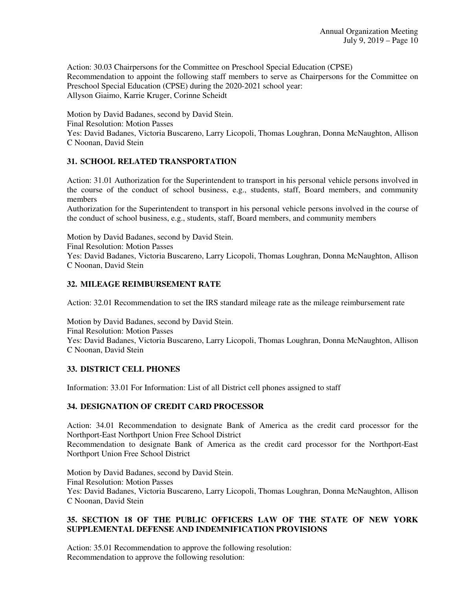Action: 30.03 Chairpersons for the Committee on Preschool Special Education (CPSE) Recommendation to appoint the following staff members to serve as Chairpersons for the Committee on Preschool Special Education (CPSE) during the 2020-2021 school year: Allyson Giaimo, Karrie Kruger, Corinne Scheidt

Motion by David Badanes, second by David Stein. Final Resolution: Motion Passes Yes: David Badanes, Victoria Buscareno, Larry Licopoli, Thomas Loughran, Donna McNaughton, Allison C Noonan, David Stein

### **31. SCHOOL RELATED TRANSPORTATION**

Action: 31.01 Authorization for the Superintendent to transport in his personal vehicle persons involved in the course of the conduct of school business, e.g., students, staff, Board members, and community members

Authorization for the Superintendent to transport in his personal vehicle persons involved in the course of the conduct of school business, e.g., students, staff, Board members, and community members

Motion by David Badanes, second by David Stein.

Final Resolution: Motion Passes

Yes: David Badanes, Victoria Buscareno, Larry Licopoli, Thomas Loughran, Donna McNaughton, Allison C Noonan, David Stein

### **32. MILEAGE REIMBURSEMENT RATE**

Action: 32.01 Recommendation to set the IRS standard mileage rate as the mileage reimbursement rate

Motion by David Badanes, second by David Stein. Final Resolution: Motion Passes Yes: David Badanes, Victoria Buscareno, Larry Licopoli, Thomas Loughran, Donna McNaughton, Allison C Noonan, David Stein

### **33. DISTRICT CELL PHONES**

Information: 33.01 For Information: List of all District cell phones assigned to staff

### **34. DESIGNATION OF CREDIT CARD PROCESSOR**

Action: 34.01 Recommendation to designate Bank of America as the credit card processor for the Northport-East Northport Union Free School District

Recommendation to designate Bank of America as the credit card processor for the Northport-East Northport Union Free School District

Motion by David Badanes, second by David Stein. Final Resolution: Motion Passes Yes: David Badanes, Victoria Buscareno, Larry Licopoli, Thomas Loughran, Donna McNaughton, Allison C Noonan, David Stein

### **35. SECTION 18 OF THE PUBLIC OFFICERS LAW OF THE STATE OF NEW YORK SUPPLEMENTAL DEFENSE AND INDEMNIFICATION PROVISIONS**

Action: 35.01 Recommendation to approve the following resolution: Recommendation to approve the following resolution: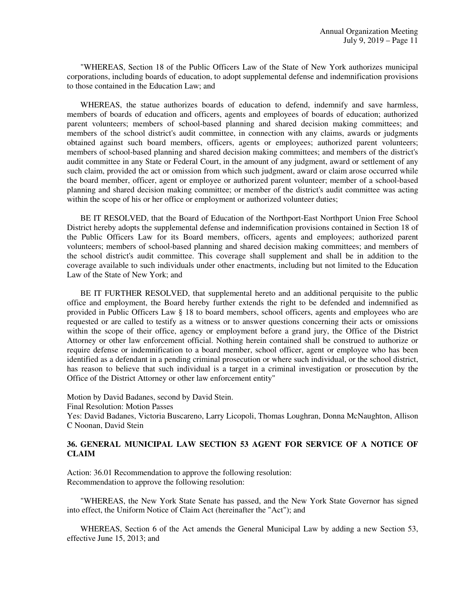"WHEREAS, Section 18 of the Public Officers Law of the State of New York authorizes municipal corporations, including boards of education, to adopt supplemental defense and indemnification provisions to those contained in the Education Law; and

 WHEREAS, the statue authorizes boards of education to defend, indemnify and save harmless, members of boards of education and officers, agents and employees of boards of education; authorized parent volunteers; members of school-based planning and shared decision making committees; and members of the school district's audit committee, in connection with any claims, awards or judgments obtained against such board members, officers, agents or employees; authorized parent volunteers; members of school-based planning and shared decision making committees; and members of the district's audit committee in any State or Federal Court, in the amount of any judgment, award or settlement of any such claim, provided the act or omission from which such judgment, award or claim arose occurred while the board member, officer, agent or employee or authorized parent volunteer; member of a school-based planning and shared decision making committee; or member of the district's audit committee was acting within the scope of his or her office or employment or authorized volunteer duties;

 BE IT RESOLVED, that the Board of Education of the Northport-East Northport Union Free School District hereby adopts the supplemental defense and indemnification provisions contained in Section 18 of the Public Officers Law for its Board members, officers, agents and employees; authorized parent volunteers; members of school-based planning and shared decision making committees; and members of the school district's audit committee. This coverage shall supplement and shall be in addition to the coverage available to such individuals under other enactments, including but not limited to the Education Law of the State of New York; and

 BE IT FURTHER RESOLVED, that supplemental hereto and an additional perquisite to the public office and employment, the Board hereby further extends the right to be defended and indemnified as provided in Public Officers Law § 18 to board members, school officers, agents and employees who are requested or are called to testify as a witness or to answer questions concerning their acts or omissions within the scope of their office, agency or employment before a grand jury, the Office of the District Attorney or other law enforcement official. Nothing herein contained shall be construed to authorize or require defense or indemnification to a board member, school officer, agent or employee who has been identified as a defendant in a pending criminal prosecution or where such individual, or the school district, has reason to believe that such individual is a target in a criminal investigation or prosecution by the Office of the District Attorney or other law enforcement entity"

Motion by David Badanes, second by David Stein. Final Resolution: Motion Passes Yes: David Badanes, Victoria Buscareno, Larry Licopoli, Thomas Loughran, Donna McNaughton, Allison C Noonan, David Stein

### **36. GENERAL MUNICIPAL LAW SECTION 53 AGENT FOR SERVICE OF A NOTICE OF CLAIM**

Action: 36.01 Recommendation to approve the following resolution: Recommendation to approve the following resolution:

 "WHEREAS, the New York State Senate has passed, and the New York State Governor has signed into effect, the Uniform Notice of Claim Act (hereinafter the "Act"); and

 WHEREAS, Section 6 of the Act amends the General Municipal Law by adding a new Section 53, effective June 15, 2013; and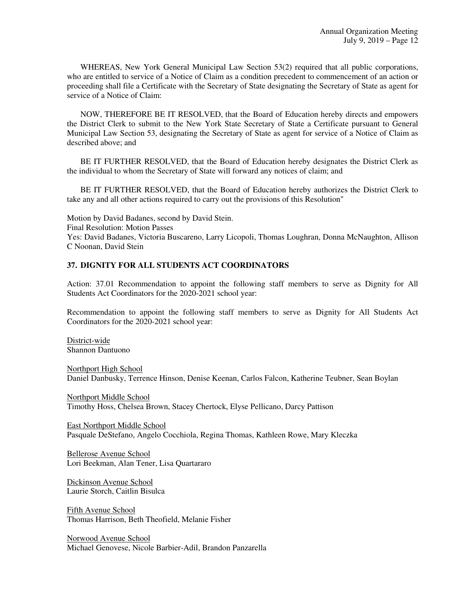WHEREAS, New York General Municipal Law Section 53(2) required that all public corporations, who are entitled to service of a Notice of Claim as a condition precedent to commencement of an action or proceeding shall file a Certificate with the Secretary of State designating the Secretary of State as agent for service of a Notice of Claim:

 NOW, THEREFORE BE IT RESOLVED, that the Board of Education hereby directs and empowers the District Clerk to submit to the New York State Secretary of State a Certificate pursuant to General Municipal Law Section 53, designating the Secretary of State as agent for service of a Notice of Claim as described above; and

 BE IT FURTHER RESOLVED, that the Board of Education hereby designates the District Clerk as the individual to whom the Secretary of State will forward any notices of claim; and

 BE IT FURTHER RESOLVED, that the Board of Education hereby authorizes the District Clerk to take any and all other actions required to carry out the provisions of this Resolution"

Motion by David Badanes, second by David Stein. Final Resolution: Motion Passes Yes: David Badanes, Victoria Buscareno, Larry Licopoli, Thomas Loughran, Donna McNaughton, Allison C Noonan, David Stein

### **37. DIGNITY FOR ALL STUDENTS ACT COORDINATORS**

Action: 37.01 Recommendation to appoint the following staff members to serve as Dignity for All Students Act Coordinators for the 2020-2021 school year:

Recommendation to appoint the following staff members to serve as Dignity for All Students Act Coordinators for the 2020-2021 school year:

District-wide Shannon Dantuono

Northport High School Daniel Danbusky, Terrence Hinson, Denise Keenan, Carlos Falcon, Katherine Teubner, Sean Boylan

Northport Middle School Timothy Hoss, Chelsea Brown, Stacey Chertock, Elyse Pellicano, Darcy Pattison

East Northport Middle School Pasquale DeStefano, Angelo Cocchiola, Regina Thomas, Kathleen Rowe, Mary Kleczka

Bellerose Avenue School Lori Beekman, Alan Tener, Lisa Quartararo

Dickinson Avenue School Laurie Storch, Caitlin Bisulca

Fifth Avenue School Thomas Harrison, Beth Theofield, Melanie Fisher

Norwood Avenue School Michael Genovese, Nicole Barbier-Adil, Brandon Panzarella